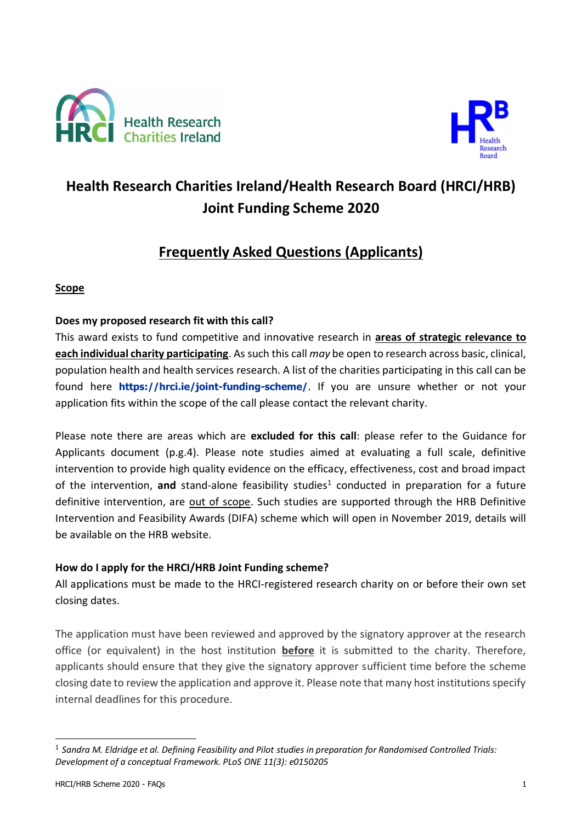



# **Health Research Charities Ireland/Health Research Board (HRCI/HRB) Joint Funding Scheme 2020**

# **Frequently Asked Questions (Applicants)**

# **Scope**

# **Does my proposed research fit with this call?**

This award exists to fund competitive and innovative research in **areas of strategic relevance to each individual charity participating**. As such this call *may* be open to research across basic, clinical, population health and health services research. A list of the charities participating in this call can be found here **<https://hrci.ie/joint-funding-scheme/>**. If you are unsure whether or not your application fits within the scope of the call please contact the relevant charity.

Please note there are areas which are **excluded for this call**: please refer to the Guidance for Applicants document (p.g.4). Please note studies aimed at evaluating a full scale, definitive intervention to provide high quality evidence on the efficacy, effectiveness, cost and broad impact of the intervention, and stand-alone feasibility studies<sup>1</sup> conducted in preparation for a future definitive intervention, are out of scope. Such studies are supported through the HRB Definitive Intervention and Feasibility Awards (DIFA) scheme which will open in November 2019, details will be available on the HRB website.

# **How do I apply for the HRCI/HRB Joint Funding scheme?**

All applications must be made to the HRCI-registered research charity on or before their own set closing dates.

The application must have been reviewed and approved by the signatory approver at the research office (or equivalent) in the host institution **before** it is submitted to the charity. Therefore, applicants should ensure that they give the signatory approver sufficient time before the scheme closing date to review the application and approve it. Please note that many host institutions specify internal deadlines for this procedure.

-

<sup>&</sup>lt;sup>1</sup> Sandra M. Eldridge et al. Defining Feasibility and Pilot studies in preparation for Randomised Controlled Trials: *Development of a conceptual Framework. PLoS ONE 11(3): e0150205*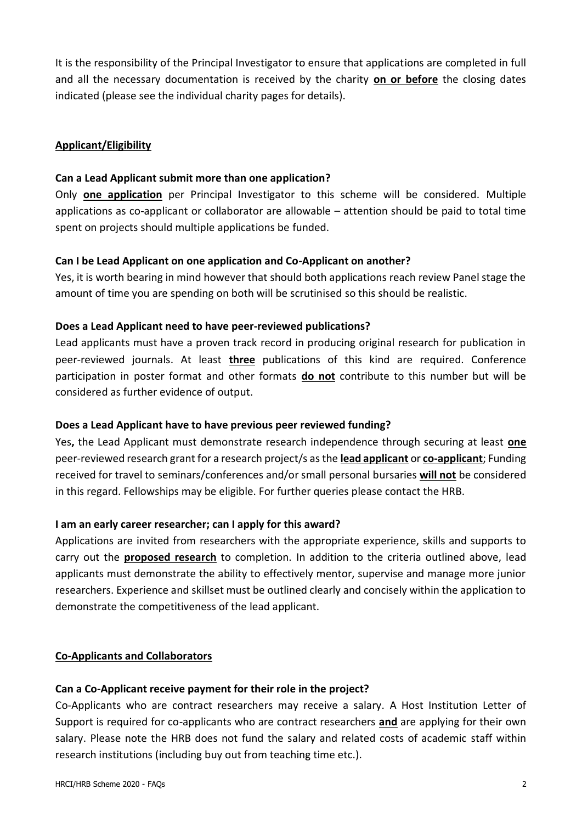It is the responsibility of the Principal Investigator to ensure that applications are completed in full and all the necessary documentation is received by the charity **on or before** the closing dates indicated (please see the individual charity pages for details).

### **Applicant/Eligibility**

#### **Can a Lead Applicant submit more than one application?**

Only **one application** per Principal Investigator to this scheme will be considered. Multiple applications as co-applicant or collaborator are allowable – attention should be paid to total time spent on projects should multiple applications be funded.

#### **Can I be Lead Applicant on one application and Co-Applicant on another?**

Yes, it is worth bearing in mind however that should both applications reach review Panel stage the amount of time you are spending on both will be scrutinised so this should be realistic.

#### **Does a Lead Applicant need to have peer-reviewed publications?**

Lead applicants must have a proven track record in producing original research for publication in peer-reviewed journals. At least **three** publications of this kind are required. Conference participation in poster format and other formats **do not** contribute to this number but will be considered as further evidence of output.

#### **Does a Lead Applicant have to have previous peer reviewed funding?**

Yes**,** the Lead Applicant must demonstrate research independence through securing at least **one** peer-reviewed research grant for a research project/s as the **lead applicant** or **co-applicant**; Funding received for travel to seminars/conferences and/or small personal bursaries **will not** be considered in this regard. Fellowships may be eligible. For further queries please contact the HRB.

#### **I am an early career researcher; can I apply for this award?**

Applications are invited from researchers with the appropriate experience, skills and supports to carry out the **proposed research** to completion. In addition to the criteria outlined above, lead applicants must demonstrate the ability to effectively mentor, supervise and manage more junior researchers. Experience and skillset must be outlined clearly and concisely within the application to demonstrate the competitiveness of the lead applicant.

#### **Co-Applicants and Collaborators**

#### **Can a Co-Applicant receive payment for their role in the project?**

Co-Applicants who are contract researchers may receive a salary. A Host Institution Letter of Support is required for co-applicants who are contract researchers **and** are applying for their own salary. Please note the HRB does not fund the salary and related costs of academic staff within research institutions (including buy out from teaching time etc.).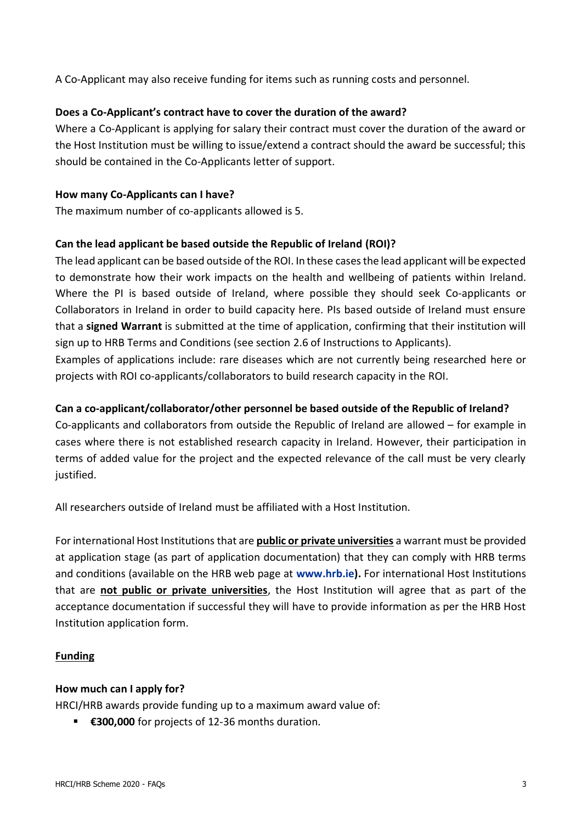A Co-Applicant may also receive funding for items such as running costs and personnel.

#### **Does a Co-Applicant's contract have to cover the duration of the award?**

Where a Co-Applicant is applying for salary their contract must cover the duration of the award or the Host Institution must be willing to issue/extend a contract should the award be successful; this should be contained in the Co-Applicants letter of support.

#### **How many Co-Applicants can I have?**

The maximum number of co-applicants allowed is 5.

#### **Can the lead applicant be based outside the Republic of Ireland (ROI)?**

The lead applicant can be based outside of the ROI. In these cases the lead applicant will be expected to demonstrate how their work impacts on the health and wellbeing of patients within Ireland. Where the PI is based outside of Ireland, where possible they should seek Co-applicants or Collaborators in Ireland in order to build capacity here. PIs based outside of Ireland must ensure that a **signed Warrant** is submitted at the time of application, confirming that their institution will sign up to HRB Terms and Conditions (see section 2.6 of Instructions to Applicants).

Examples of applications include: rare diseases which are not currently being researched here or projects with ROI co-applicants/collaborators to build research capacity in the ROI.

#### **Can a co-applicant/collaborator/other personnel be based outside of the Republic of Ireland?**

Co-applicants and collaborators from outside the Republic of Ireland are allowed – for example in cases where there is not established research capacity in Ireland. However, their participation in terms of added value for the project and the expected relevance of the call must be very clearly justified.

All researchers outside of Ireland must be affiliated with a Host Institution.

For international Host Institutions that are **public or private universities** a warrant must be provided at application stage (as part of application documentation) that they can comply with HRB terms and conditions (available on the HRB web page at **[www.hrb.ie\)](http://www.hrb.ie/).** For international Host Institutions that are **not public or private universities**, the Host Institution will agree that as part of the acceptance documentation if successful they will have to provide information as per the HRB Host Institution application form.

#### **Funding**

#### **How much can I apply for?**

HRCI/HRB awards provide funding up to a maximum award value of:

▪ **€300,000** for projects of 12-36 months duration.